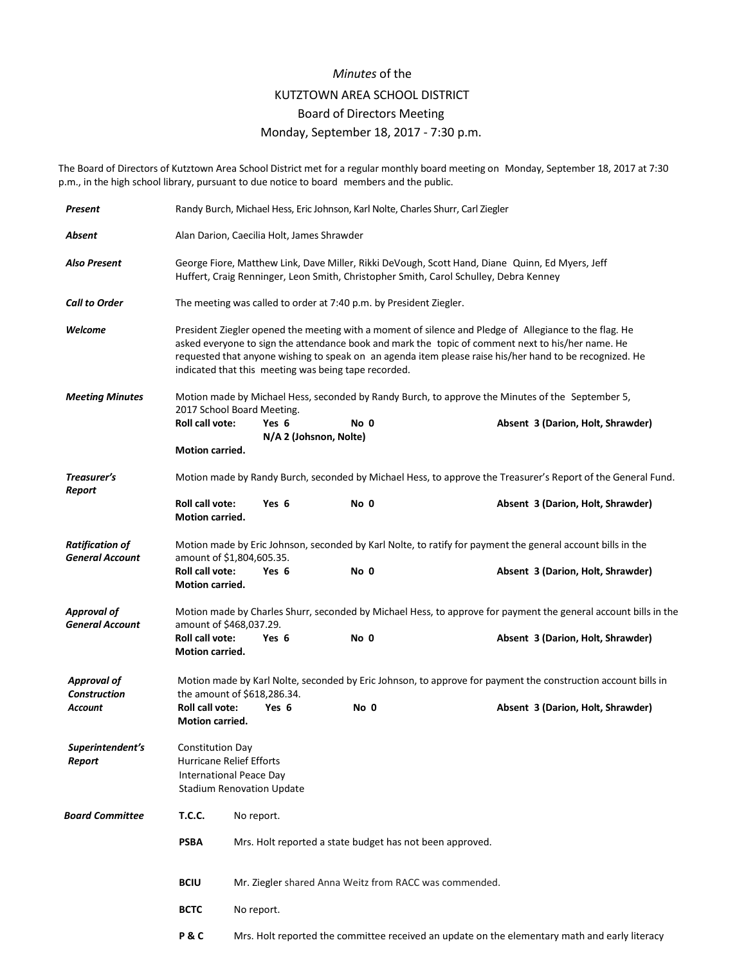## *Minutes* of the

## KUTZTOWN AREA SCHOOL DISTRICT

## Board of Directors Meeting

## Monday, September 18, 2017 - 7:30 p.m.

The Board of Directors of Kutztown Area School District met for a regular monthly board meeting on Monday, September 18, 2017 at 7:30 p.m., in the high school library, pursuant to due notice to board members and the public.

| Present                                          | Randy Burch, Michael Hess, Eric Johnson, Karl Nolte, Charles Shurr, Carl Ziegler                                                                                                                                                                                                                                                                                               |                                                                                               |      |                                   |  |
|--------------------------------------------------|--------------------------------------------------------------------------------------------------------------------------------------------------------------------------------------------------------------------------------------------------------------------------------------------------------------------------------------------------------------------------------|-----------------------------------------------------------------------------------------------|------|-----------------------------------|--|
| Absent                                           | Alan Darion, Caecilia Holt, James Shrawder                                                                                                                                                                                                                                                                                                                                     |                                                                                               |      |                                   |  |
| <b>Also Present</b>                              | George Fiore, Matthew Link, Dave Miller, Rikki DeVough, Scott Hand, Diane Quinn, Ed Myers, Jeff<br>Huffert, Craig Renninger, Leon Smith, Christopher Smith, Carol Schulley, Debra Kenney                                                                                                                                                                                       |                                                                                               |      |                                   |  |
| <b>Call to Order</b>                             | The meeting was called to order at 7:40 p.m. by President Ziegler.                                                                                                                                                                                                                                                                                                             |                                                                                               |      |                                   |  |
| Welcome                                          | President Ziegler opened the meeting with a moment of silence and Pledge of Allegiance to the flag. He<br>asked everyone to sign the attendance book and mark the topic of comment next to his/her name. He<br>requested that anyone wishing to speak on an agenda item please raise his/her hand to be recognized. He<br>indicated that this meeting was being tape recorded. |                                                                                               |      |                                   |  |
| <b>Meeting Minutes</b>                           | Motion made by Michael Hess, seconded by Randy Burch, to approve the Minutes of the September 5,<br>2017 School Board Meeting.                                                                                                                                                                                                                                                 |                                                                                               |      |                                   |  |
|                                                  | Roll call vote:<br>Motion carried.                                                                                                                                                                                                                                                                                                                                             | Yes 6<br>N/A 2 (Johsnon, Nolte)                                                               | No 0 | Absent 3 (Darion, Holt, Shrawder) |  |
| Treasurer's<br>Report                            | Motion made by Randy Burch, seconded by Michael Hess, to approve the Treasurer's Report of the General Fund.                                                                                                                                                                                                                                                                   |                                                                                               |      |                                   |  |
|                                                  | Roll call vote:<br><b>Motion carried.</b>                                                                                                                                                                                                                                                                                                                                      | Yes 6                                                                                         | No 0 | Absent 3 (Darion, Holt, Shrawder) |  |
| <b>Ratification of</b><br><b>General Account</b> | Motion made by Eric Johnson, seconded by Karl Nolte, to ratify for payment the general account bills in the<br>amount of \$1,804,605.35.                                                                                                                                                                                                                                       |                                                                                               |      |                                   |  |
|                                                  | <b>Roll call vote:</b><br>Motion carried.                                                                                                                                                                                                                                                                                                                                      | Yes 6                                                                                         | No 0 | Absent 3 (Darion, Holt, Shrawder) |  |
| Approval of<br><b>General Account</b>            | Motion made by Charles Shurr, seconded by Michael Hess, to approve for payment the general account bills in the<br>amount of \$468,037.29.                                                                                                                                                                                                                                     |                                                                                               |      |                                   |  |
|                                                  | Roll call vote:<br>Motion carried.                                                                                                                                                                                                                                                                                                                                             | Yes 6                                                                                         | No 0 | Absent 3 (Darion, Holt, Shrawder) |  |
| <b>Approval of</b><br><b>Construction</b>        | Motion made by Karl Nolte, seconded by Eric Johnson, to approve for payment the construction account bills in<br>the amount of \$618,286.34.                                                                                                                                                                                                                                   |                                                                                               |      |                                   |  |
| Account                                          | Roll call vote:<br>Motion carried.                                                                                                                                                                                                                                                                                                                                             | Yes 6                                                                                         | No 0 | Absent 3 (Darion, Holt, Shrawder) |  |
| Superintendent's<br>Report                       | <b>Constitution Day</b><br>Hurricane Relief Efforts<br><b>International Peace Day</b><br><b>Stadium Renovation Update</b>                                                                                                                                                                                                                                                      |                                                                                               |      |                                   |  |
| <b>Board Committee</b>                           | <b>T.C.C.</b>                                                                                                                                                                                                                                                                                                                                                                  | No report.                                                                                    |      |                                   |  |
|                                                  | <b>PSBA</b>                                                                                                                                                                                                                                                                                                                                                                    | Mrs. Holt reported a state budget has not been approved.                                      |      |                                   |  |
|                                                  | <b>BCIU</b>                                                                                                                                                                                                                                                                                                                                                                    | Mr. Ziegler shared Anna Weitz from RACC was commended.                                        |      |                                   |  |
|                                                  | <b>BCTC</b>                                                                                                                                                                                                                                                                                                                                                                    | No report.                                                                                    |      |                                   |  |
|                                                  | P&C                                                                                                                                                                                                                                                                                                                                                                            | Mrs. Holt reported the committee received an update on the elementary math and early literacy |      |                                   |  |